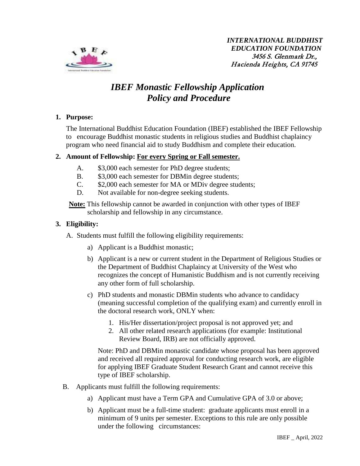

# *IBEF Monastic Fellowship Application Policy and Procedure*

## **1. Purpose:**

The International Buddhist Education Foundation (IBEF) established the IBEF Fellowship to encourage Buddhist monastic students in religious studies and Buddhist chaplaincy program who need financial aid to study Buddhism and complete their education.

## **2. Amount of Fellowship: For every Spring or Fall semester.**

- A.  $$3,000$  each semester for PhD degree students;
- B.  $$3,000$  each semester for DBM in degree students;
- C. \$2,000 each semester for MA or MDiv degree students;
- D. Not available for non-degree seeking students.

**Note:** This fellowship cannot be awarded in conjunction with other types of IBEF scholarship and fellowship in any circumstance.

## **3. Eligibility:**

A. Students must fulfill the following eligibility requirements:

- a) Applicant is a Buddhist monastic;
- b) Applicant is a new or current student in the Department of Religious Studies or the Department of Buddhist Chaplaincy at University of the West who recognizes the concept of Humanistic Buddhism and is not currently receiving any other form of full scholarship.
- c) PhD students and monastic DBMin students who advance to candidacy (meaning successful completion of the qualifying exam) and currently enroll in the doctoral research work, ONLY when:
	- 1. His/Her dissertation/project proposal is not approved yet; and
	- 2. All other related research applications (for example: Institutional Review Board, IRB) are not officially approved.

Note: PhD and DBMin monastic candidate whose proposal has been approved and received all required approval for conducting research work, are eligible for applying IBEF Graduate Student Research Grant and cannot receive this type of IBEF scholarship.

- B. Applicants must fulfill the following requirements:
	- a) Applicant must have a Term GPA and Cumulative GPA of 3.0 or above;
	- b) Applicant must be a full-time student: graduate applicants must enroll in a minimum of 9 units per semester. Exceptions to this rule are only possible under the following circumstances: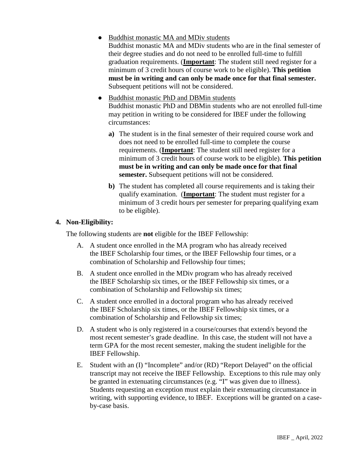● Buddhist monastic MA and MDiv students

Buddhist monastic MA and MDiv students who are in the final semester of their degree studies and do not need to be enrolled full-time to fulfill graduation requirements. (**Important**: The student still need register for a minimum of 3 credit hours of course work to be eligible). **This petition must be in writing and can only be made once for that final semester.** Subsequent petitions will not be considered.

- Buddhist monastic PhD and DBMin students Buddhist monastic PhD and DBMin students who are not enrolled full-time may petition in writing to be considered for IBEF under the following circumstances:
	- **a)** The student is in the final semester of their required course work and does not need to be enrolled full-time to complete the course requirements. (**Important**: The student still need register for a minimum of 3 credit hours of course work to be eligible). **This petition must be in writing and can only be made once for that final semester.** Subsequent petitions will not be considered.
	- **b)** The student has completed all course requirements and is taking their qualify examination. (**Important**: The student must register for a minimum of 3 credit hours per semester for preparing qualifying exam to be eligible).

#### **4. Non-Eligibility:**

The following students are **not** eligible for the IBEF Fellowship:

- A. A student once enrolled in the MA program who has already received the IBEF Scholarship four times, or the IBEF Fellowship four times, or a combination of Scholarship and Fellowship four times;
- B. A student once enrolled in the MDiv program who has already received the IBEF Scholarship six times, or the IBEF Fellowship six times, or a combination of Scholarship and Fellowship six times;
- C. A student once enrolled in a doctoral program who has already received the IBEF Scholarship six times, or the IBEF Fellowship six times, or a combination of Scholarship and Fellowship six times;
- D. A student who is only registered in a course/courses that extend/s beyond the most recent semester's grade deadline. In this case, the student will not have a term GPA for the most recent semester, making the student ineligible for the IBEF Fellowship.
- E. Student with an (I) "Incomplete" and/or (RD) "Report Delayed" on the official transcript may not receive the IBEF Fellowship. Exceptions to this rule may only be granted in extenuating circumstances (e.g. "I" was given due to illness). Students requesting an exception must explain their extenuating circumstance in writing, with supporting evidence, to IBEF. Exceptions will be granted on a caseby-case basis.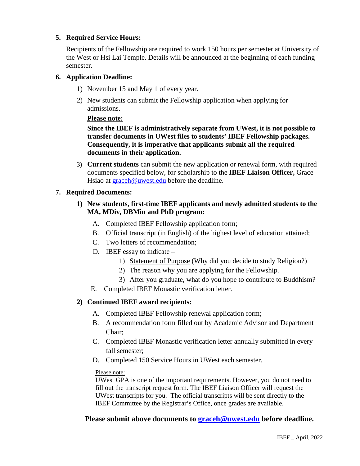# **5. Required Service Hours:**

Recipients of the Fellowship are required to work 150 hours per semester at University of the West or Hsi Lai Temple. Details will be announced at the beginning of each funding semester.

## **6. Application Deadline:**

- 1) November 15 and May 1 of every year.
- 2) New students can submit the Fellowship application when applying for admissions.

#### **Please note:**

**Since the IBEF is administratively separate from UWest, it is not possible to transfer documents in UWest files to students' IBEF Fellowship packages. Consequently, it is imperative that applicants submit all the required documents in their application.**

3) **Current students** can submit the new application or renewal form, with required documents specified below, for scholarship to the **IBEF Liaison Officer,** Grace Hsiao at [graceh@uwest.edu](mailto:graceh@uwest.edu) before the deadline.

## **7. Required Documents:**

- **1) New students, first-time IBEF applicants and newly admitted students to the MA, MDiv, DBMin and PhD program:**
	- A. Completed IBEF Fellowship application form;
	- B. Official transcript (in English) of the highest level of education attained;
	- C. Two letters of recommendation;
	- D. IBEF essay to indicate
		- 1) Statement of Purpose (Why did you decide to study Religion?)
		- 2) The reason why you are applying for the Fellowship.
		- 3) After you graduate, what do you hope to contribute to Buddhism?
	- E. Completed IBEF Monastic verification letter.

# **2) Continued IBEF award recipients:**

- A. Completed IBEF Fellowship renewal application form;
- B. A recommendation form filled out by Academic Advisor and Department Chair;
- C. Completed IBEF Monastic verification letter annually submitted in every fall semester;
- D. Completed 150 Service Hours in UWest each semester.

#### Please note:

UWest GPA is one of the important requirements. However, you do not need to fill out the transcript request form. The IBEF Liaison Officer will request the UWest transcripts for you. The official transcripts will be sent directly to the IBEF Committee by the Registrar's Office, once grades are available.

# **Please submit above documents to [graceh@uwest.edu](mailto:graceh@uwest.edu) before deadline.**